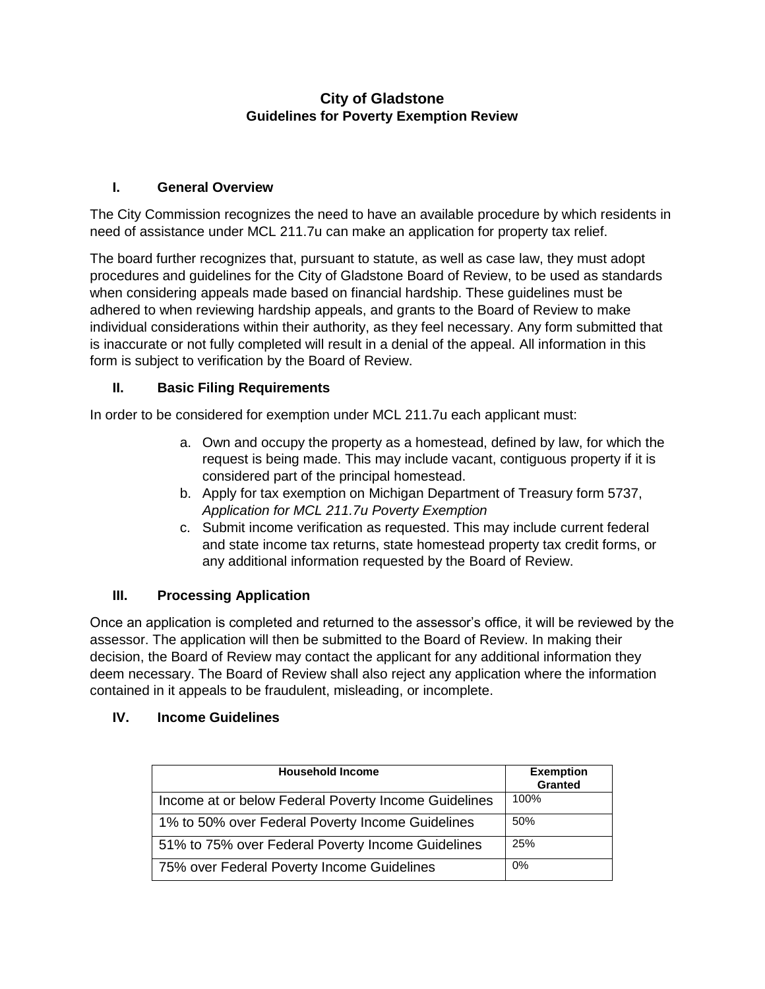## **City of Gladstone Guidelines for Poverty Exemption Review**

## **I. General Overview**

The City Commission recognizes the need to have an available procedure by which residents in need of assistance under MCL 211.7u can make an application for property tax relief.

The board further recognizes that, pursuant to statute, as well as case law, they must adopt procedures and guidelines for the City of Gladstone Board of Review, to be used as standards when considering appeals made based on financial hardship. These guidelines must be adhered to when reviewing hardship appeals, and grants to the Board of Review to make individual considerations within their authority, as they feel necessary. Any form submitted that is inaccurate or not fully completed will result in a denial of the appeal. All information in this form is subject to verification by the Board of Review.

# **II. Basic Filing Requirements**

In order to be considered for exemption under MCL 211.7u each applicant must:

- a. Own and occupy the property as a homestead, defined by law, for which the request is being made. This may include vacant, contiguous property if it is considered part of the principal homestead.
- b. Apply for tax exemption on Michigan Department of Treasury form 5737, *Application for MCL 211.7u Poverty Exemption*
- c. Submit income verification as requested. This may include current federal and state income tax returns, state homestead property tax credit forms, or any additional information requested by the Board of Review.

#### **III. Processing Application**

Once an application is completed and returned to the assessor's office, it will be reviewed by the assessor. The application will then be submitted to the Board of Review. In making their decision, the Board of Review may contact the applicant for any additional information they deem necessary. The Board of Review shall also reject any application where the information contained in it appeals to be fraudulent, misleading, or incomplete.

#### **IV. Income Guidelines**

| <b>Household Income</b>                              | <b>Exemption</b><br>Granted |
|------------------------------------------------------|-----------------------------|
| Income at or below Federal Poverty Income Guidelines | 100%                        |
| 1% to 50% over Federal Poverty Income Guidelines     | 50%                         |
| 51% to 75% over Federal Poverty Income Guidelines    | 25%                         |
| 75% over Federal Poverty Income Guidelines           | 0%                          |